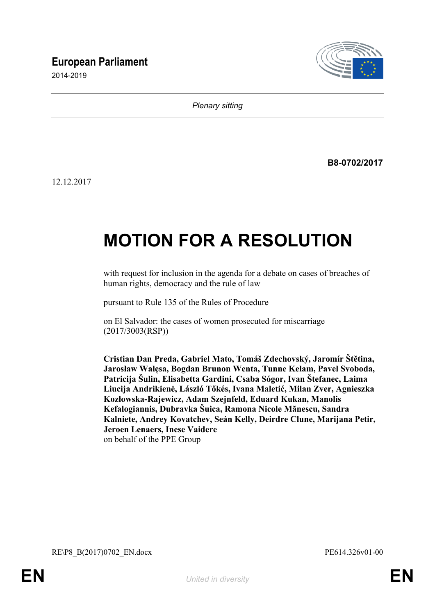# **European Parliament**

2014-2019



*Plenary sitting*

**B8-0702/2017**

12.12.2017

# **MOTION FOR A RESOLUTION**

with request for inclusion in the agenda for a debate on cases of breaches of human rights, democracy and the rule of law

pursuant to Rule 135 of the Rules of Procedure

on El Salvador: the cases of women prosecuted for miscarriage (2017/3003(RSP))

**Cristian Dan Preda, Gabriel Mato, Tomáš Zdechovský, Jaromír Štětina, Jarosław Wałęsa, Bogdan Brunon Wenta, Tunne Kelam, Pavel Svoboda, Patricija Šulin, Elisabetta Gardini, Csaba Sógor, Ivan Štefanec, Laima Liucija Andrikienė, László Tőkés, Ivana Maletić, Milan Zver, Agnieszka Kozłowska-Rajewicz, Adam Szejnfeld, Eduard Kukan, Manolis Kefalogiannis, Dubravka Šuica, Ramona Nicole Mănescu, Sandra Kalniete, Andrey Kovatchev, Seán Kelly, Deirdre Clune, Marijana Petir, Jeroen Lenaers, Inese Vaidere** on behalf of the PPE Group

<span id="page-0-1"></span><span id="page-0-0"></span>RE\P8\_B(2017)0702\_EN.docx PE614.326v01-00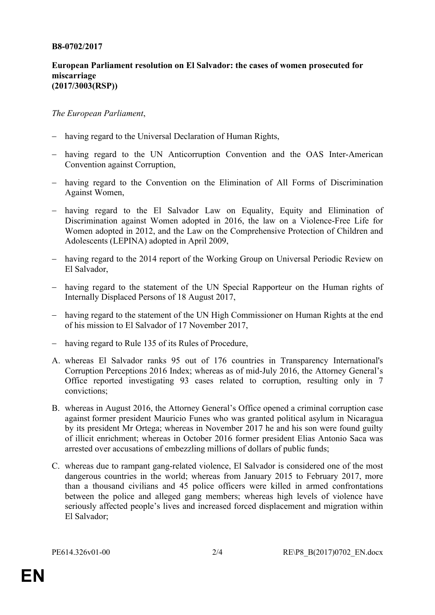#### **B8-0702/2017**

### **European Parliament resolution on El Salvador: the cases of women prosecuted for miscarriage (2017/3003(RSP))**

## *The European Parliament*,

- having regard to the Universal Declaration of Human Rights,
- having regard to the UN Anticorruption Convention and the OAS Inter-American Convention against Corruption,
- having regard to the Convention on the Elimination of All Forms of Discrimination Against Women,
- having regard to the El Salvador Law on Equality, Equity and Elimination of Discrimination against Women adopted in 2016, the law on a Violence-Free Life for Women adopted in 2012, and the Law on the Comprehensive Protection of Children and Adolescents (LEPINA) adopted in April 2009,
- having regard to the 2014 report of the Working Group on Universal Periodic Review on El Salvador,
- having regard to the statement of the UN Special Rapporteur on the Human rights of Internally Displaced Persons of 18 August 2017,
- having regard to the statement of the UN High Commissioner on Human Rights at the end of his mission to El Salvador of 17 November 2017,
- having regard to Rule 135 of its Rules of Procedure,
- A. whereas El Salvador ranks 95 out of 176 countries in Transparency International's Corruption Perceptions 2016 Index; whereas as of mid-July 2016, the Attorney General's Office reported investigating 93 cases related to corruption, resulting only in 7 convictions;
- B. whereas in August 2016, the Attorney General's Office opened a criminal corruption case against former president Mauricio Funes who was granted political asylum in Nicaragua by its president Mr Ortega; whereas in November 2017 he and his son were found guilty of illicit enrichment; whereas in October 2016 former president Elias Antonio Saca was arrested over accusations of embezzling millions of dollars of public funds;
- C. whereas due to rampant gang-related violence, El Salvador is considered one of the most dangerous countries in the world; whereas from January 2015 to February 2017, more than a thousand civilians and 45 police officers were killed in armed confrontations between the police and alleged gang members; whereas high levels of violence have seriously affected people's lives and increased forced displacement and migration within El Salvador;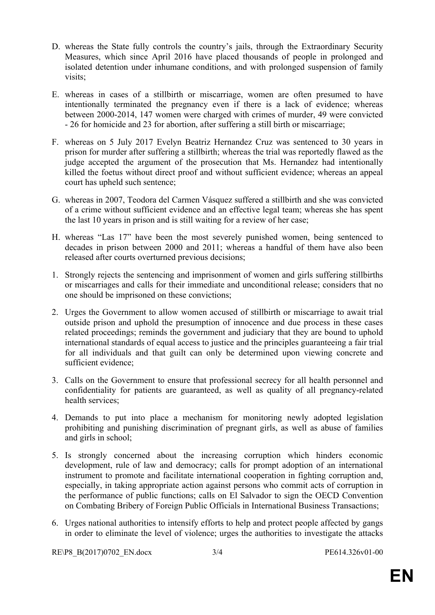- D. whereas the State fully controls the country's jails, through the Extraordinary Security Measures, which since April 2016 have placed thousands of people in prolonged and isolated detention under inhumane conditions, and with prolonged suspension of family visits;
- E. whereas in cases of a stillbirth or miscarriage, women are often presumed to have intentionally terminated the pregnancy even if there is a lack of evidence; whereas between 2000-2014, 147 women were charged with crimes of murder, 49 were convicted - 26 for homicide and 23 for abortion, after suffering a still birth or miscarriage;
- F. whereas on 5 July 2017 Evelyn Beatriz Hernandez Cruz was sentenced to 30 years in prison for murder after suffering a stillbirth; whereas the trial was reportedly flawed as the judge accepted the argument of the prosecution that Ms. Hernandez had intentionally killed the foetus without direct proof and without sufficient evidence; whereas an appeal court has upheld such sentence;
- G. whereas in 2007, Teodora del Carmen Vásquez suffered a stillbirth and she was convicted of a crime without sufficient evidence and an effective legal team; whereas she has spent the last 10 years in prison and is still waiting for a review of her case;
- H. whereas "Las 17" have been the most severely punished women, being sentenced to decades in prison between 2000 and 2011; whereas a handful of them have also been released after courts overturned previous decisions;
- 1. Strongly rejects the sentencing and imprisonment of women and girls suffering stillbirths or miscarriages and calls for their immediate and unconditional release; considers that no one should be imprisoned on these convictions;
- 2. Urges the Government to allow women accused of stillbirth or miscarriage to await trial outside prison and uphold the presumption of innocence and due process in these cases related proceedings; reminds the government and judiciary that they are bound to uphold international standards of equal access to justice and the principles guaranteeing a fair trial for all individuals and that guilt can only be determined upon viewing concrete and sufficient evidence;
- 3. Calls on the Government to ensure that professional secrecy for all health personnel and confidentiality for patients are guaranteed, as well as quality of all pregnancy-related health services;
- 4. Demands to put into place a mechanism for monitoring newly adopted legislation prohibiting and punishing discrimination of pregnant girls, as well as abuse of families and girls in school;
- 5. Is strongly concerned about the increasing corruption which hinders economic development, rule of law and democracy; calls for prompt adoption of an international instrument to promote and facilitate international cooperation in fighting corruption and, especially, in taking appropriate action against persons who commit acts of corruption in the performance of public functions; calls on El Salvador to sign the OECD Convention on Combating Bribery of Foreign Public Officials in International Business Transactions;
- 6. Urges national authorities to intensify efforts to help and protect people affected by gangs in order to eliminate the level of violence; urges the authorities to investigate the attacks